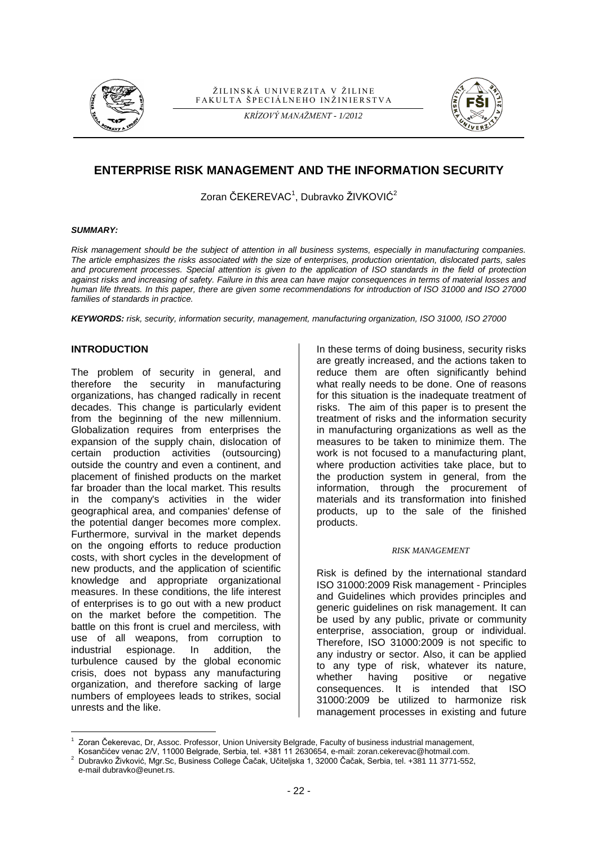

#### ŽILINSKÁ UNIVERZITA V ŽILINE FAKULTA ŠPECIÁLNEHO INŽINIERSTVA

*KRÍZOVÝ MANAŽMENT - 1/2012*



# **ENTERPRISE RISK MANAGEMENT AND THE INFORMATION SECURITY**

Zoran ČEKEREVAC $^1$ , Dubravko ŽIVKOVIĆ $^2$ 

#### *SUMMARY:*

*Risk management should be the subject of attention in all business systems, especially in manufacturing companies. The article emphasizes the risks associated with the size of enterprises, production orientation, dislocated parts, sales and procurement processes. Special attention is given to the application of ISO standards in the field of protection against risks and increasing of safety. Failure in this area can have major consequences in terms of material losses and human life threats. In this paper, there are given some recommendations for introduction of ISO 31000 and ISO 27000 families of standards in practice.*

*KEYWORDS: risk, security, information security, management, manufacturing organization, ISO 31000, ISO 27000*

## **INTRODUCTION**

The problem of security in general, and therefore the security in manufacturing organizations, has changed radically in recent decades. This change is particularly evident from the beginning of the new millennium. Globalization requires from enterprises the expansion of the supply chain, dislocation of certain production activities (outsourcing) outside the country and even a continent, and placement of finished products on the market far broader than the local market. This results in the company's activities in the wider geographical area, and companies' defense of the potential danger becomes more complex. Furthermore, survival in the market depends on the ongoing efforts to reduce production costs, with short cycles in the development of new products, and the application of scientific knowledge and appropriate organizational measures. In these conditions, the life interest of enterprises is to go out with a new product on the market before the competition. The battle on this front is cruel and merciless, with use of all weapons, from corruption to industrial espionage. In addition, the turbulence caused by the global economic crisis, does not bypass any manufacturing organization, and therefore sacking of large numbers of employees leads to strikes, social unrests and the like.

In these terms of doing business, security risks are greatly increased, and the actions taken to reduce them are often significantly behind what really needs to be done. One of reasons for this situation is the inadequate treatment of risks. The aim of this paper is to present the treatment of risks and the information security in manufacturing organizations as well as the measures to be taken to minimize them. The work is not focused to a manufacturing plant, where production activities take place, but to the production system in general, from the information, through the procurement of materials and its transformation into finished products, up to the sale of the finished products.

#### *RISK MANAGEMENT*

Risk is defined by the international standard ISO 31000:2009 Risk management - Principles and Guidelines which provides principles and generic guidelines on risk management. It can be used by any public, private or community enterprise, association, group or individual. Therefore, ISO 31000:2009 is not specific to any industry or sector. Also, it can be applied to any type of risk, whatever its nature, whether having positive or negative consequences. It is intended that ISO 31000:2009 be utilized to harmonize risk management processes in existing and future

e-mail dubravko@eunet.rs.

 $\overline{a}$ 1 Zoran Čekerevac, Dr, Assoc. Professor, Union University Belgrade, Faculty of business industrial management,

Kosančićev venac 2/V, 11000 Belgrade, Serbia, tel. +381 11 2630654, e-mail: zoran.cekerevac@hotmail.com.

<sup>2</sup> Dubravko Živković, Mgr.Sc, Business College Čačak, Učiteljska 1, 32000 Čačak, Serbia, tel. +381 11 3771-552,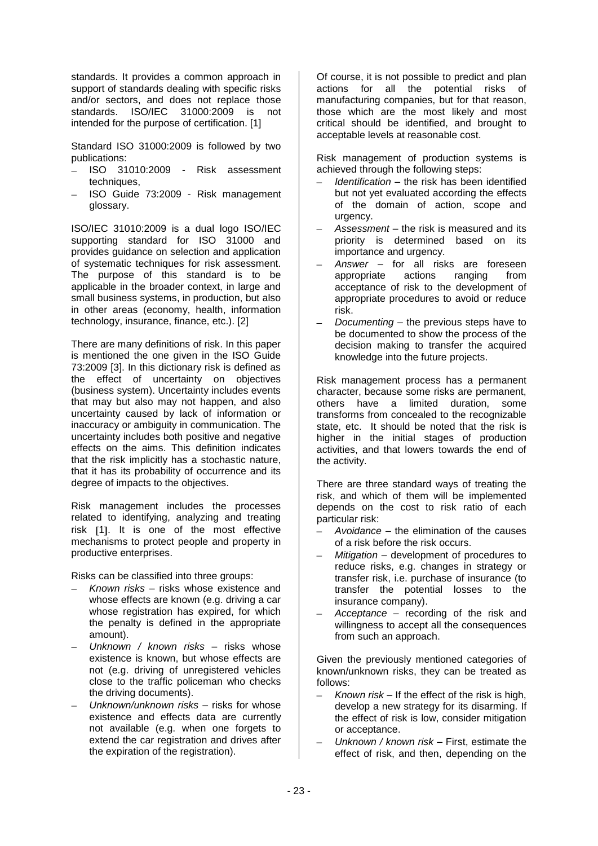standards. It provides a common approach in support of standards dealing with specific risks and/or sectors, and does not replace those standards. ISO/IEC 31000:2009 is not intended for the purpose of certification. [1]

Standard ISO 31000:2009 is followed by two publications:

- ISO 31010:2009 Risk assessment techniques,
- ISO Guide 73:2009 Risk management glossary.

ISO/IEC 31010:2009 is a dual logo ISO/IEC supporting standard for ISO 31000 and provides guidance on selection and application of systematic techniques for risk assessment. The purpose of this standard is to be applicable in the broader context, in large and small business systems, in production, but also in other areas (economy, health, information technology, insurance, finance, etc.). [2]

There are many definitions of risk. In this paper is mentioned the one given in the ISO Guide 73:2009 [3]. In this dictionary risk is defined as the effect of uncertainty on objectives (business system). Uncertainty includes events that may but also may not happen, and also uncertainty caused by lack of information or inaccuracy or ambiguity in communication. The uncertainty includes both positive and negative effects on the aims. This definition indicates that the risk implicitly has a stochastic nature, that it has its probability of occurrence and its degree of impacts to the objectives.

Risk management includes the processes related to identifying, analyzing and treating risk [1]. It is one of the most effective mechanisms to protect people and property in productive enterprises.

Risks can be classified into three groups:

- *Known risks*  risks whose existence and whose effects are known (e.g. driving a car whose registration has expired, for which the penalty is defined in the appropriate amount).
- *Unknown / known risks* risks whose existence is known, but whose effects are not (e.g. driving of unregistered vehicles close to the traffic policeman who checks the driving documents).
- *Unknown/unknown risks –* risks for whose existence and effects data are currently not available (e.g. when one forgets to extend the car registration and drives after the expiration of the registration).

Of course, it is not possible to predict and plan actions for all the potential risks of manufacturing companies, but for that reason, those which are the most likely and most critical should be identified, and brought to acceptable levels at reasonable cost.

Risk management of production systems is achieved through the following steps:

- *Identification –* the risk has been identified but not yet evaluated according the effects of the domain of action, scope and urgency.
- *Assessment* the risk is measured and its priority is determined based on its importance and urgency.
- *Answer* for all risks are foreseen appropriate actions ranging from acceptance of risk to the development of appropriate procedures to avoid or reduce risk.
- *Documenting* the previous steps have to be documented to show the process of the decision making to transfer the acquired knowledge into the future projects.

Risk management process has a permanent character, because some risks are permanent, others have a limited duration, some transforms from concealed to the recognizable state, etc. It should be noted that the risk is higher in the initial stages of production activities, and that lowers towards the end of the activity.

There are three standard ways of treating the risk, and which of them will be implemented depends on the cost to risk ratio of each particular risk:

- *Avoidance*  the elimination of the causes of a risk before the risk occurs.
- *Mitigation* development of procedures to reduce risks, e.g. changes in strategy or transfer risk, i.e. purchase of insurance (to transfer the potential losses to the insurance company).
- *Acceptance* recording of the risk and willingness to accept all the consequences from such an approach.

Given the previously mentioned categories of known/unknown risks, they can be treated as follows:

- *Known risk* If the effect of the risk is high, develop a new strategy for its disarming. If the effect of risk is low, consider mitigation or acceptance.
- *Unknown / known risk* First, estimate the effect of risk, and then, depending on the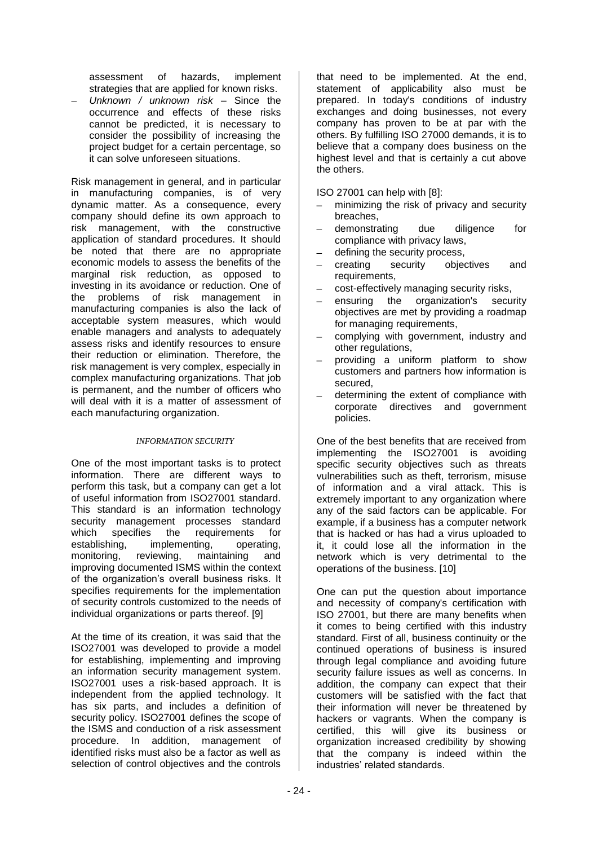assessment of hazards, implement strategies that are applied for known risks.

*Unknown / unknown risk* – Since the occurrence and effects of these risks cannot be predicted, it is necessary to consider the possibility of increasing the project budget for a certain percentage, so it can solve unforeseen situations.

Risk management in general, and in particular in manufacturing companies, is of very dynamic matter. As a consequence, every company should define its own approach to risk management, with the constructive application of standard procedures. It should be noted that there are no appropriate economic models to assess the benefits of the marginal risk reduction, as opposed to investing in its avoidance or reduction. One of the problems of risk management in manufacturing companies is also the lack of acceptable system measures, which would enable managers and analysts to adequately assess risks and identify resources to ensure their reduction or elimination. Therefore, the risk management is very complex, especially in complex manufacturing organizations. That job is permanent, and the number of officers who will deal with it is a matter of assessment of each manufacturing organization.

## *INFORMATION SECURITY*

One of the most important tasks is to protect information. There are different ways to perform this task, but a company can get a lot of useful information from ISO27001 standard. This standard is an information technology security management processes standard which specifies the requirements for establishing, implementing, operating, monitoring, reviewing, maintaining and improving documented ISMS within the context of the organization's overall business risks. It specifies requirements for the implementation of security controls customized to the needs of individual organizations or parts thereof. [9]

At the time of its creation, it was said that the ISO27001 was developed to provide a model for establishing, implementing and improving an information security management system. ISO27001 uses a risk-based approach. It is independent from the applied technology. It has six parts, and includes a definition of security policy. ISO27001 defines the scope of the ISMS and conduction of a risk assessment procedure. In addition, management of identified risks must also be a factor as well as selection of control objectives and the controls

that need to be implemented. At the end, statement of applicability also must be prepared. In today's conditions of industry exchanges and doing businesses, not every company has proven to be at par with the others. By fulfilling ISO 27000 demands, it is to believe that a company does business on the highest level and that is certainly a cut above the others.

ISO 27001 can help with [8]:

- minimizing the risk of privacy and security  $\equiv$ breaches,
- demonstrating due diligence for compliance with privacy laws,
- defining the security process,
- creating security objectives and requirements,
- cost-effectively managing security risks,
- ensuring the organization's security objectives are met by providing a roadmap for managing requirements,
- complying with government, industry and other regulations.
- providing a uniform platform to show customers and partners how information is secured,
- determining the extent of compliance with corporate directives and government policies.

One of the best benefits that are received from implementing the ISO27001 is avoiding specific security objectives such as threats vulnerabilities such as theft, terrorism, misuse of information and a viral attack. This is extremely important to any organization where any of the said factors can be applicable. For example, if a business has a computer network that is hacked or has had a virus uploaded to it, it could lose all the information in the network which is very detrimental to the operations of the business. [10]

One can put the question about importance and necessity of company's certification with ISO 27001, but there are many benefits when it comes to being certified with this industry standard. First of all, business continuity or the continued operations of business is insured through legal compliance and avoiding future security failure issues as well as concerns. In addition, the company can expect that their customers will be satisfied with the fact that their information will never be threatened by hackers or vagrants. When the company is certified, this will give its business or organization increased credibility by showing that the company is indeed within the industries' related standards.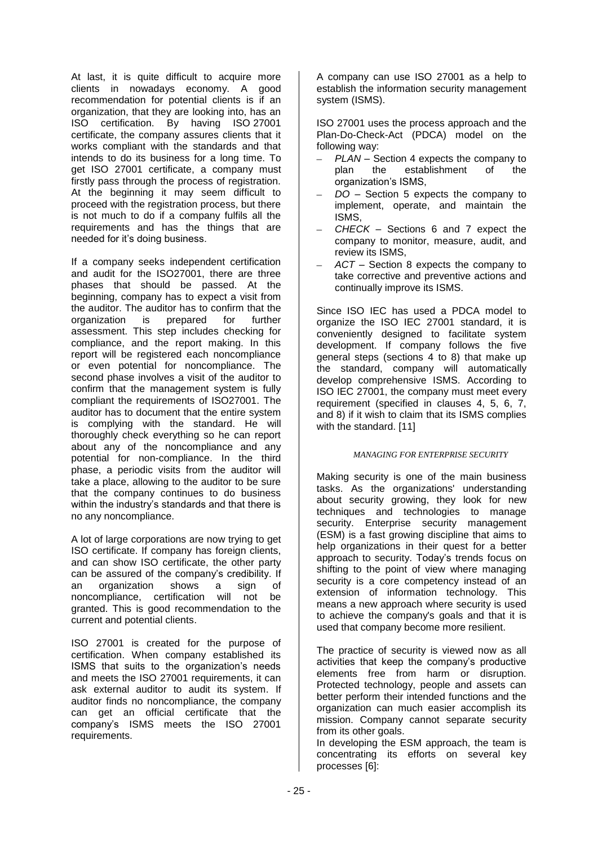At last, it is quite difficult to acquire more clients in nowadays economy. A good recommendation for potential clients is if an organization, that they are looking into, has an ISO certification. By having ISO 27001 certificate, the company assures clients that it works compliant with the standards and that intends to do its business for a long time. To get ISO 27001 certificate, a company must firstly pass through the process of registration. At the beginning it may seem difficult to proceed with the registration process, but there is not much to do if a company fulfils all the requirements and has the things that are needed for it's doing business.

If a company seeks independent certification and audit for the ISO27001, there are three phases that should be passed. At the beginning, company has to expect a visit from the auditor. The auditor has to confirm that the<br>organization is prepared for further organization is prepared for further assessment. This step includes checking for compliance, and the report making. In this report will be registered each noncompliance or even potential for noncompliance. The second phase involves a visit of the auditor to confirm that the management system is fully compliant the requirements of ISO27001. The auditor has to document that the entire system is complying with the standard. He will thoroughly check everything so he can report about any of the noncompliance and any potential for non-compliance. In the third phase, a periodic visits from the auditor will take a place, allowing to the auditor to be sure that the company continues to do business within the industry's standards and that there is no any noncompliance.

A lot of large corporations are now trying to get ISO certificate. If company has foreign clients, and can show ISO certificate, the other party can be assured of the company's credibility. If an organization shows a sign of noncompliance, certification will not be granted. This is good recommendation to the current and potential clients.

ISO 27001 is created for the purpose of certification. When company established its ISMS that suits to the organization's needs and meets the ISO 27001 requirements, it can ask external auditor to audit its system. If auditor finds no noncompliance, the company can get an official certificate that the company's ISMS meets the ISO 27001 requirements.

A company can use ISO 27001 as a help to establish the information security management system (ISMS).

ISO 27001 uses the process approach and the Plan-Do-Check-Act (PDCA) model on the following way:

- *PLAN –* Section 4 expects the company to plan the establishment of the organization's ISMS,
- *DO –* Section 5 expects the company to implement, operate, and maintain the ISMS,
- *CHECK –* Sections 6 and 7 expect the company to monitor, measure, audit, and review its ISMS,
- *ACT* Section 8 expects the company to take corrective and preventive actions and continually improve its ISMS.

Since ISO IEC has used a PDCA model to organize the ISO IEC 27001 standard, it is conveniently designed to facilitate system development. If company follows the five general steps (sections 4 to 8) that make up the standard, company will automatically develop comprehensive ISMS. According to ISO IEC 27001, the company must meet every requirement (specified in clauses 4, 5, 6, 7, and 8) if it wish to claim that its ISMS complies with the standard. [11]

## *MANAGING FOR ENTERPRISE SECURITY*

Making security is one of the main business tasks. As the organizations' understanding about security growing, they look for new techniques and technologies to manage security. Enterprise security management (ESM) is a fast growing discipline that aims to help organizations in their quest for a better approach to security. Today's trends focus on shifting to the point of view where managing security is a core competency instead of an extension of information technology. This means a new approach where security is used to achieve the company's goals and that it is used that company become more resilient.

The practice of security is viewed now as all activities that keep the company's productive elements free from harm or disruption. Protected technology, people and assets can better perform their intended functions and the organization can much easier accomplish its mission. Company cannot separate security from its other goals.

In developing the ESM approach, the team is concentrating its efforts on several key processes [6]: